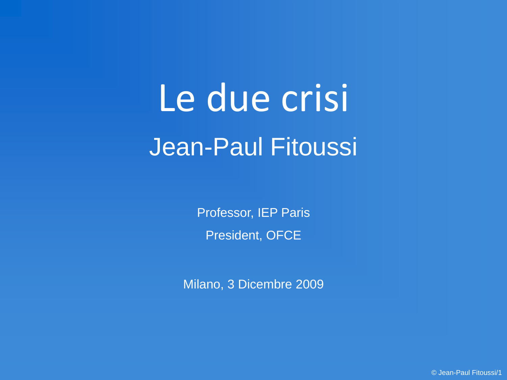# Le due crisi Jean-Paul Fitoussi

Professor, IEP Paris President, OFCE

Milano, 3 Dicembre 2009

© Jean-Paul Fitoussi/1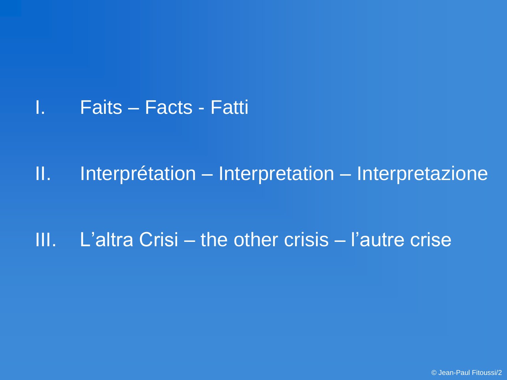I. Faits – Facts - Fatti

II. Interprétation – Interpretation – Interpretazione

III. L'altra Crisi – the other crisis – l'autre crise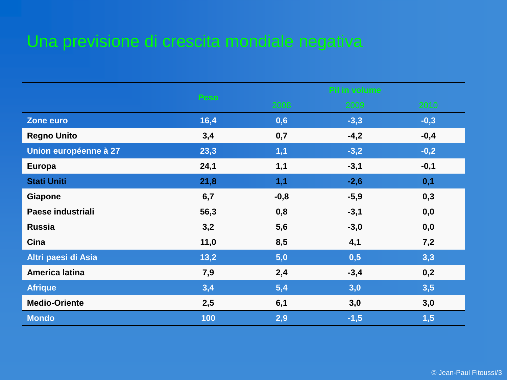# Una previsione di crescita mondiale negativa

|                       | Peso | PI in volume |        |        |
|-----------------------|------|--------------|--------|--------|
|                       |      | 2008         | 2009   | 2010   |
| Zone euro             | 16,4 | 0,6          | $-3,3$ | $-0,3$ |
| <b>Regno Unito</b>    | 3,4  | 0,7          | $-4,2$ | $-0,4$ |
| Union européenne à 27 | 23,3 | 1,1          | $-3,2$ | $-0,2$ |
| <b>Europa</b>         | 24,1 | 1,1          | $-3,1$ | $-0,1$ |
| <b>Stati Uniti</b>    | 21,8 | 1,1          | $-2,6$ | 0,1    |
| Giapone               | 6,7  | $-0,8$       | $-5,9$ | 0,3    |
| Paese industriali     | 56,3 | 0,8          | $-3,1$ | 0,0    |
| <b>Russia</b>         | 3,2  | 5,6          | $-3,0$ | 0,0    |
| Cina                  | 11,0 | 8,5          | 4,1    | 7,2    |
| Altri paesi di Asia   | 13,2 | 5,0          | 0,5    | 3,3    |
| America latina        | 7,9  | 2,4          | $-3,4$ | 0,2    |
| <b>Afrique</b>        | 3,4  | 5,4          | 3,0    | 3,5    |
| <b>Medio-Oriente</b>  | 2,5  | 6,1          | 3,0    | 3,0    |
| <b>Mondo</b>          | 100  | 2,9          | $-1,5$ | 1,5    |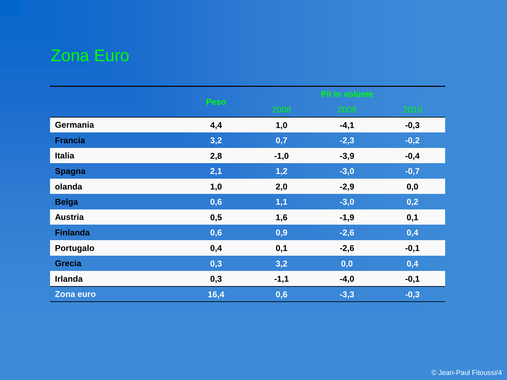# Zona Euro

|                 | Peso | Pil in volume |        |        |
|-----------------|------|---------------|--------|--------|
|                 |      | 2008          | 2009   | 2010   |
| Germania        | 4,4  | 1,0           | $-4,1$ | $-0,3$ |
| <b>Francia</b>  | 3,2  | 0,7           | $-2,3$ | $-0,2$ |
| <b>Italia</b>   | 2,8  | $-1,0$        | $-3,9$ | $-0,4$ |
| <b>Spagna</b>   | 2,1  | 1,2           | $-3,0$ | $-0,7$ |
| olanda          | 1,0  | 2,0           | $-2,9$ | 0,0    |
| <b>Belga</b>    | 0,6  | 1,1           | $-3,0$ | 0,2    |
| <b>Austria</b>  | 0,5  | 1,6           | $-1,9$ | 0,1    |
| <b>Finlanda</b> | 0,6  | 0,9           | $-2,6$ | 0,4    |
| Portugalo       | 0,4  | 0,1           | $-2,6$ | $-0,1$ |
| <b>Grecia</b>   | 0,3  | 3,2           | 0,0    | 0,4    |
| <b>Irlanda</b>  | 0,3  | $-1,1$        | $-4,0$ | $-0,1$ |
| Zona euro       | 16,4 | 0,6           | $-3,3$ | $-0,3$ |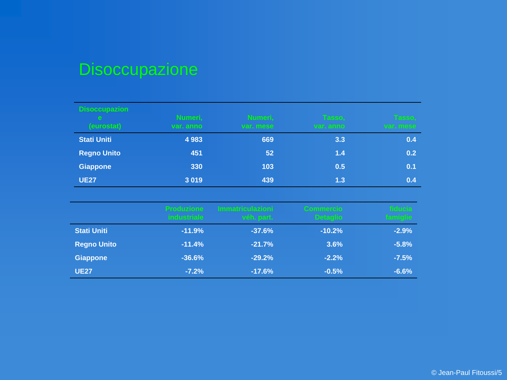# Disoccupazione

| <b>Disoccupazion</b><br>e.<br>(eurostat) | Numeri,<br>var. anno | Numeri,<br>var. mese | Tasso,<br>var. anno | Tasso,<br>var. nese |
|------------------------------------------|----------------------|----------------------|---------------------|---------------------|
| <b>Stati Uniti</b>                       | 4 9 8 3              | 669                  | 3.3                 | 0.4                 |
| <b>Regno Unito</b>                       | 451                  | 52                   | 1.4                 | 0.2                 |
| <b>Giappone</b>                          | 330                  | 103                  | 0.5                 | 0.1                 |
| <b>UE27</b>                              | 3019                 | 439                  | 1.3                 | 0.4                 |

|                    | <b>Produzione</b><br><b>industriale</b> | <b>Immatriculazioni</b><br>véh, part. | Commercio<br><b>Detaglio</b> | fiducial<br>famiglie: |
|--------------------|-----------------------------------------|---------------------------------------|------------------------------|-----------------------|
| <b>Stati Uniti</b> | $-11.9%$                                | $-37.6%$                              | $-10.2%$                     | $-2.9%$               |
| <b>Regno Unito</b> | $-11.4%$                                | $-21.7%$                              | 3.6%                         | $-5.8%$               |
| <b>Giappone</b>    | $-36.6%$                                | $-29.2%$                              | $-2.2%$                      | $-7.5%$               |
| <b>UE27</b>        | $-7.2%$                                 | $-17.6%$                              | $-0.5%$                      | $-6.6%$               |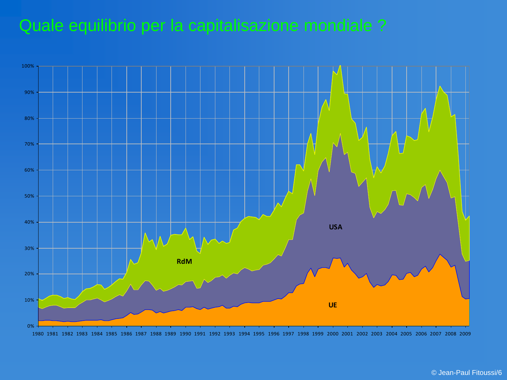#### Quale equilibrio per la capitalisazione mondiale ?

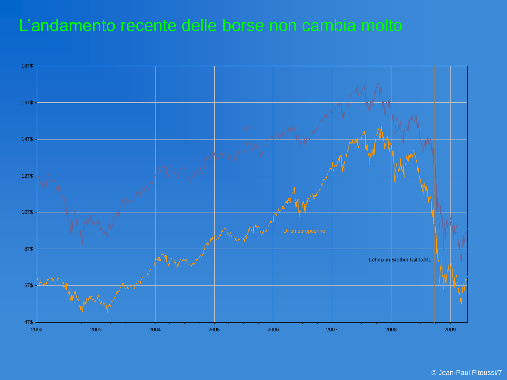#### L'andamento recente delle borse non cambia molto

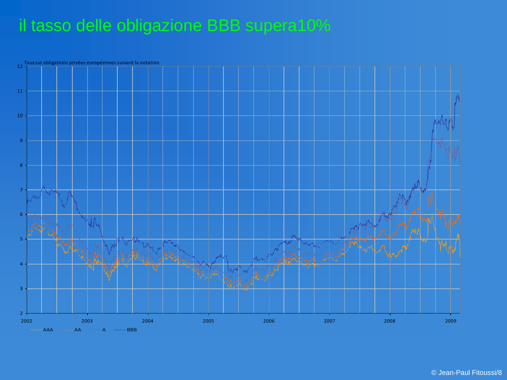## il tasso delle obligazione BBB supera10%

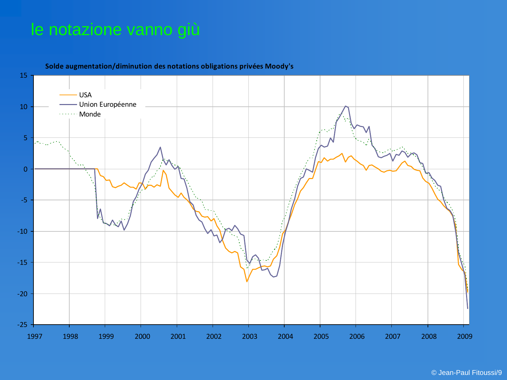#### le notazione vanno giù

-25 -20 -15 -10 -5 0 5 10 15 1997 1998 1999 2000 2001 2002 2003 2004 2005 2006 2007 2008 2009 USA Union Européenne ....... Monde

**Solde augmentation/diminution des notations obligations privées Moody's**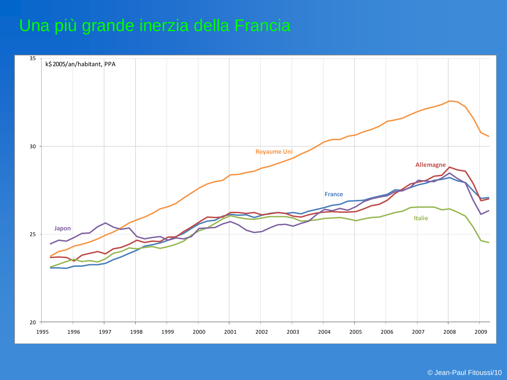## Una più grande inerzia della Francia

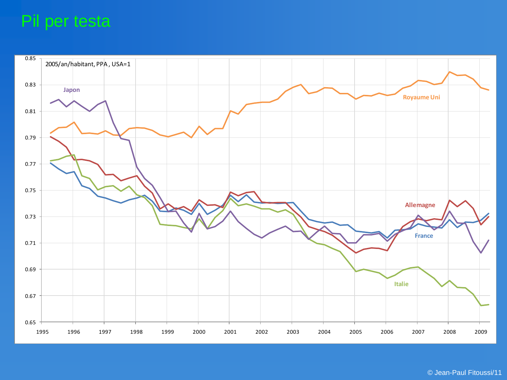#### Pil per testa

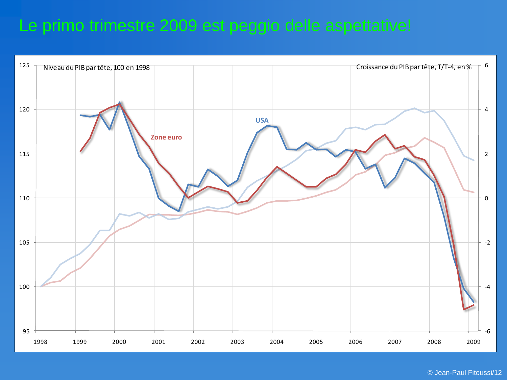#### Le primo trimestre 2009 est peggio delle aspettative!

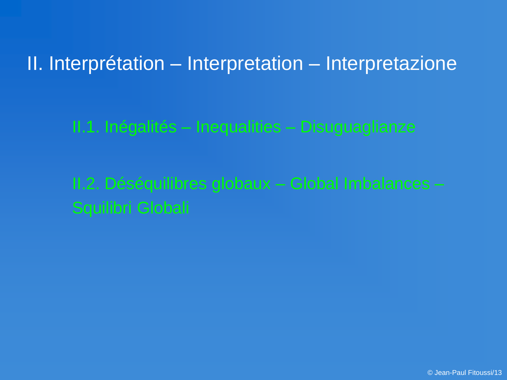## II. Interprétation – Interpretation – Interpretazione

II.1. Inégalités – Inequalities – Disuguaglianze

II.2. Déséquilibres globaux – Global Imbalances – Squilibri Globali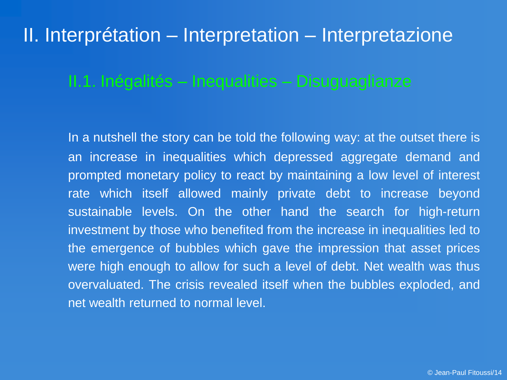## II. Interprétation – Interpretation – Interpretazione

#### II.1. Inégalités – Inequalities – Disuguaglianze

In a nutshell the story can be told the following way: at the outset there is an increase in inequalities which depressed aggregate demand and prompted monetary policy to react by maintaining a low level of interest rate which itself allowed mainly private debt to increase beyond sustainable levels. On the other hand the search for high-return investment by those who benefited from the increase in inequalities led to the emergence of bubbles which gave the impression that asset prices were high enough to allow for such a level of debt. Net wealth was thus overvaluated. The crisis revealed itself when the bubbles exploded, and net wealth returned to normal level.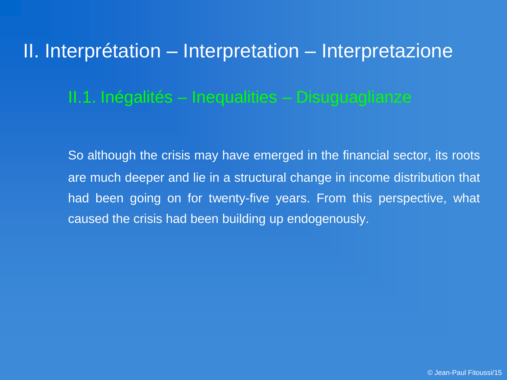# II. Interprétation – Interpretation – Interpretazione II.1. Inégalités – Inequalities – Disuguaglianze

So although the crisis may have emerged in the financial sector, its roots are much deeper and lie in a structural change in income distribution that had been going on for twenty-five years. From this perspective, what caused the crisis had been building up endogenously.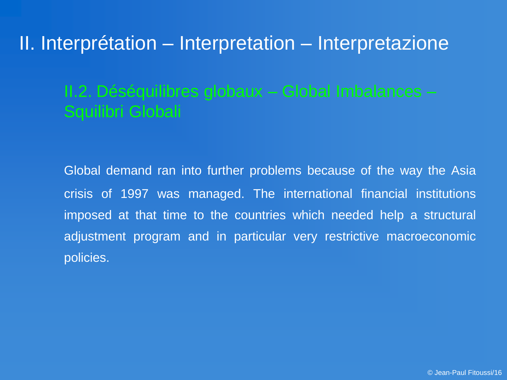II. Interprétation – Interpretation – Interpretazione

#### II.2. Déséquilibres globaux – Global Imbalances – Squilibri Globali

Global demand ran into further problems because of the way the Asia crisis of 1997 was managed. The international financial institutions imposed at that time to the countries which needed help a structural adjustment program and in particular very restrictive macroeconomic policies.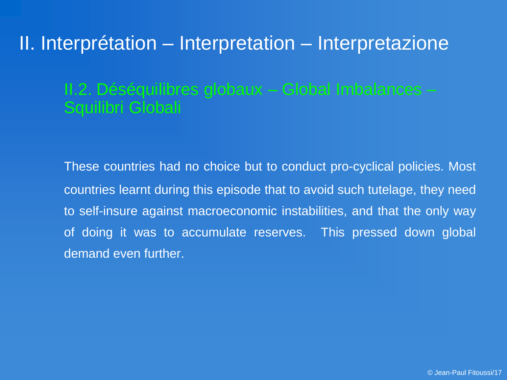## II. Interprétation – Interpretation – Interpretazione

#### II.2. Déséquilibres globaux – Global Imbalances – Squilibri Globali

These countries had no choice but to conduct pro-cyclical policies. Most countries learnt during this episode that to avoid such tutelage, they need to self-insure against macroeconomic instabilities, and that the only way of doing it was to accumulate reserves. This pressed down global demand even further.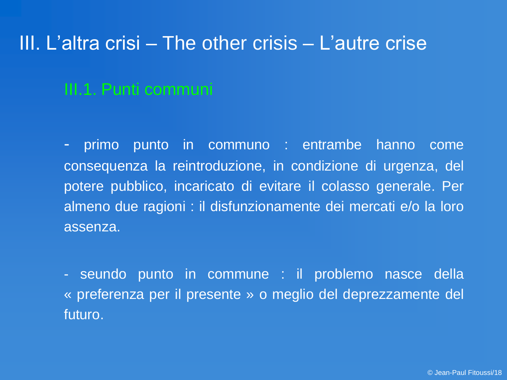#### III.1. Punti communi

- primo punto in communo : entrambe hanno come consequenza la reintroduzione, in condizione di urgenza, del potere pubblico, incaricato di evitare il colasso generale. Per almeno due ragioni : il disfunzionamente dei mercati e/o la loro assenza.

- seundo punto in commune : il problemo nasce della « preferenza per il presente » o meglio del deprezzamente del futuro.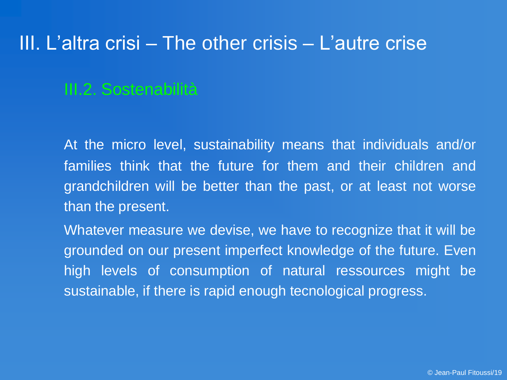#### III.2. Sostenabilità

At the micro level, sustainability means that individuals and/or families think that the future for them and their children and grandchildren will be better than the past, or at least not worse than the present.

Whatever measure we devise, we have to recognize that it will be grounded on our present imperfect knowledge of the future. Even high levels of consumption of natural ressources might be sustainable, if there is rapid enough tecnological progress.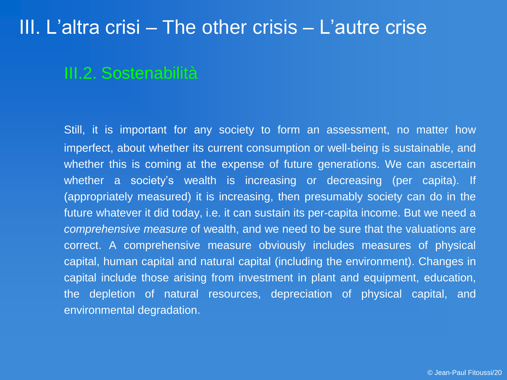#### III.2. Sostenabilità

Still, it is important for any society to form an assessment, no matter how imperfect, about whether its current consumption or well-being is sustainable, and whether this is coming at the expense of future generations. We can ascertain whether a society's wealth is increasing or decreasing (per capita). If (appropriately measured) it is increasing, then presumably society can do in the future whatever it did today, i.e. it can sustain its per-capita income. But we need a *comprehensive measure* of wealth, and we need to be sure that the valuations are correct. A comprehensive measure obviously includes measures of physical capital, human capital and natural capital (including the environment). Changes in capital include those arising from investment in plant and equipment, education, the depletion of natural resources, depreciation of physical capital, and environmental degradation.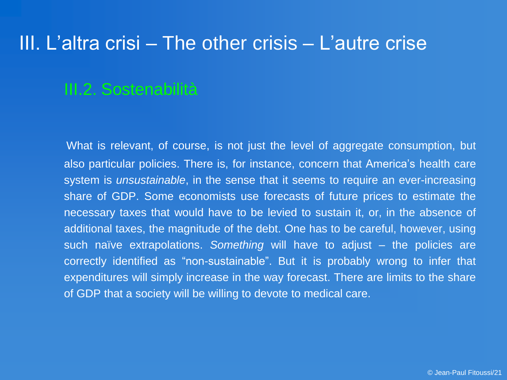#### III.2. Sostenabilità

What is relevant, of course, is not just the level of aggregate consumption, but also particular policies. There is, for instance, concern that America's health care system is *unsustainable*, in the sense that it seems to require an ever-increasing share of GDP. Some economists use forecasts of future prices to estimate the necessary taxes that would have to be levied to sustain it, or, in the absence of additional taxes, the magnitude of the debt. One has to be careful, however, using such naïve extrapolations. *Something* will have to adjust – the policies are correctly identified as "non-sustainable". But it is probably wrong to infer that expenditures will simply increase in the way forecast. There are limits to the share of GDP that a society will be willing to devote to medical care.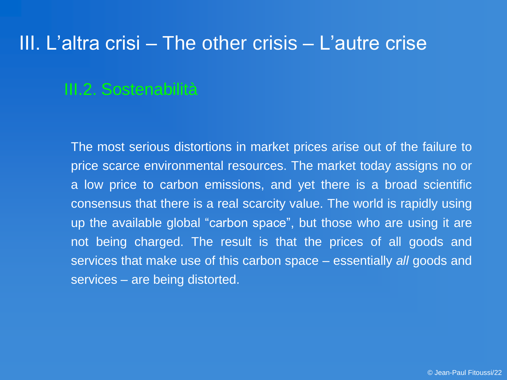#### III.2. Sostenabilità

The most serious distortions in market prices arise out of the failure to price scarce environmental resources. The market today assigns no or a low price to carbon emissions, and yet there is a broad scientific consensus that there is a real scarcity value. The world is rapidly using up the available global "carbon space", but those who are using it are not being charged. The result is that the prices of all goods and services that make use of this carbon space – essentially *all* goods and services – are being distorted.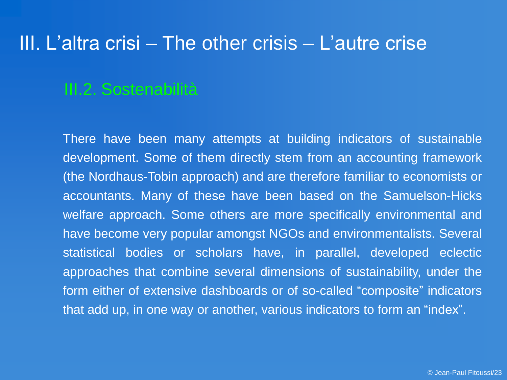#### III.2. Sostenabilità

There have been many attempts at building indicators of sustainable development. Some of them directly stem from an accounting framework (the Nordhaus-Tobin approach) and are therefore familiar to economists or accountants. Many of these have been based on the Samuelson-Hicks welfare approach. Some others are more specifically environmental and have become very popular amongst NGOs and environmentalists. Several statistical bodies or scholars have, in parallel, developed eclectic approaches that combine several dimensions of sustainability, under the form either of extensive dashboards or of so-called "composite" indicators that add up, in one way or another, various indicators to form an "index".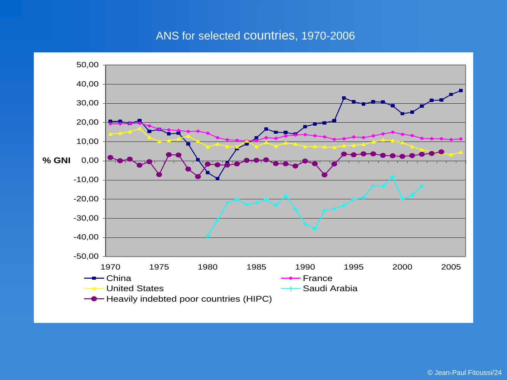#### ANS for selected countries, 1970-2006

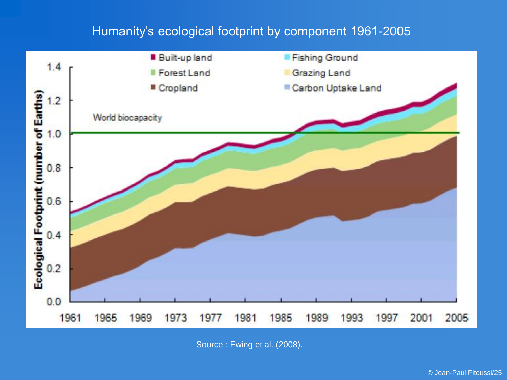#### Humanity's ecological footprint by component 1961-2005



Source : Ewing et al. (2008).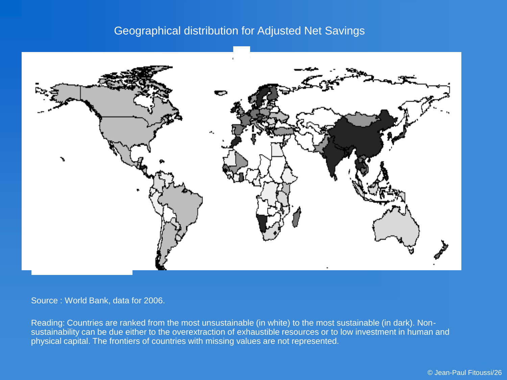#### Geographical distribution for Adjusted Net Savings



Source : World Bank, data for 2006.

Reading: Countries are ranked from the most unsustainable (in white) to the most sustainable (in dark). Nonsustainability can be due either to the overextraction of exhaustible resources or to low investment in human and physical capital. The frontiers of countries with missing values are not represented.